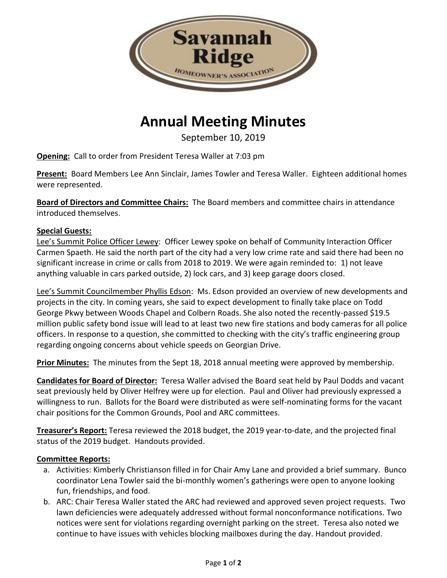

# **Annual Meeting Minutes**

September 10, 2019

**Opening:** Call to order from President Teresa Waller at 7:03 pm

**Present:** Board Members Lee Ann Sinclair, James Towler and Teresa Waller. Eighteen additional homes were represented.

**Board of Directors and Committee Chairs:** The Board members and committee chairs in attendance introduced themselves.

## **Special Guests:**

Lee's Summit Police Officer Lewey: Officer Lewey spoke on behalf of Community Interaction Officer Carmen Spaeth. He said the north part of the city had a very low crime rate and said there had been no significant increase in crime or calls from 2018 to 2019. We were again reminded to: 1) not leave anything valuable in cars parked outside, 2) lock cars, and 3) keep garage doors closed.

Lee's Summit Councilmember Phyllis Edson: Ms. Edson provided an overview of new developments and projects in the city. In coming years, she said to expect development to finally take place on Todd George Pkwy between Woods Chapel and Colbern Roads. She also noted the recently-passed \$19.5 million public safety bond issue will lead to at least two new fire stations and body cameras for all police officers. In response to a question, she committed to checking with the city's traffic engineering group regarding ongoing concerns about vehicle speeds on Georgian Drive.

**Prior Minutes:** The minutes from the Sept 18, 2018 annual meeting were approved by membership.

**Candidates for Board of Director:** Teresa Waller advised the Board seat held by Paul Dodds and vacant seat previously held by Oliver Helfrey were up for election. Paul and Oliver had previously expressed a willingness to run. Ballots for the Board were distributed as were self-nominating forms for the vacant chair positions for the Common Grounds, Pool and ARC committees.

**Treasurer's Report:** Teresa reviewed the 2018 budget, the 2019 year-to-date, and the projected final status of the 2019 budget. Handouts provided.

## **Committee Reports:**

- a. Activities: Kimberly Christianson filled in for Chair Amy Lane and provided a brief summary. Bunco coordinator Lena Towler said the bi-monthly women's gatherings were open to anyone looking fun, friendships, and food.
- b. ARC: Chair Teresa Waller stated the ARC had reviewed and approved seven project requests. Two lawn deficiencies were adequately addressed without formal nonconformance notifications. Two notices were sent for violations regarding overnight parking on the street. Teresa also noted we continue to have issues with vehicles blocking mailboxes during the day. Handout provided.